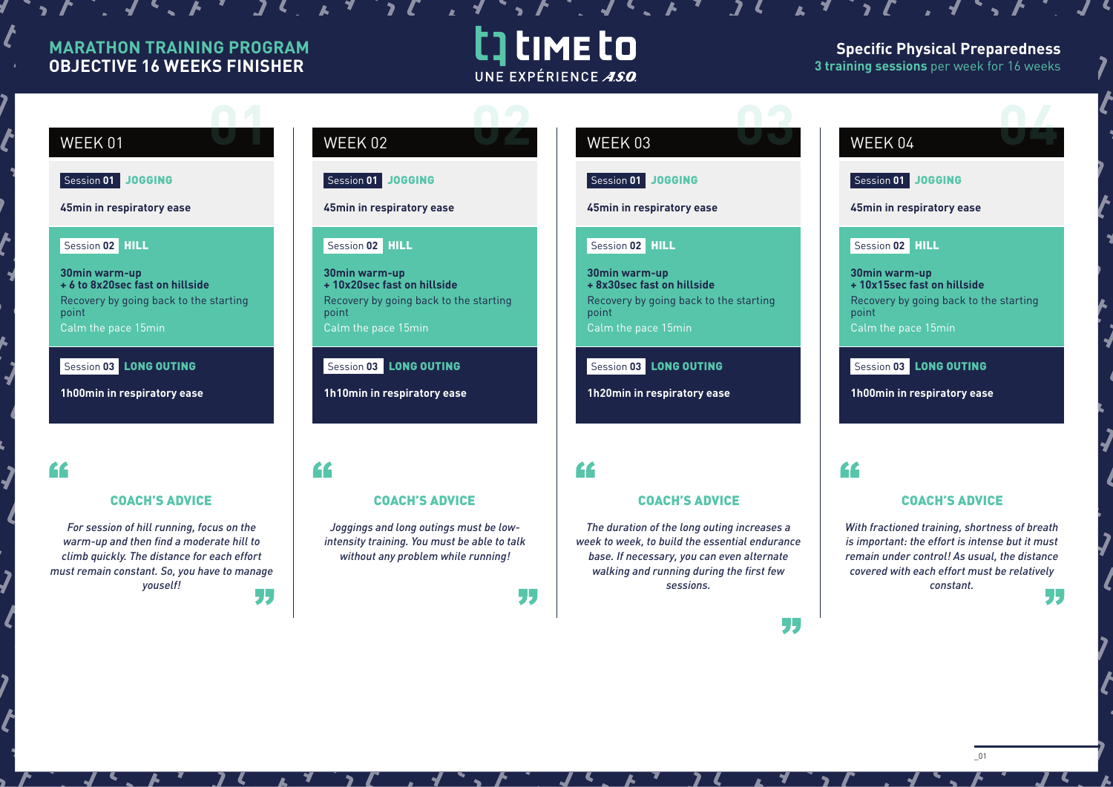$\mathcal{L}$  ,  $\mathcal{L}$  ,  $\mathcal{L}$  ,  $\mathcal{L}$  ,  $\mathcal{L}$ 

# t time to UNE EXPÉRIENCE ASO

### **Specific Physical Preparedness 3 training sessions** per week for 16 weeks

# Session **01** JOGGING **45min in respiratory ease** Session **02** HILL **WEEK 01**

**30min warm-up + 6 to 8x20sec fast on hillside** Recovery by going back to the starting point Calm the pace 15min

Session 03 **LONG OUTING** 

**1h00min in respiratory ease**

## <u>cc</u>

### COACH'S ADVICE

*For session of hill running, focus on the warm-up and then find a moderate hill to climb quickly. The distance for each effort must remain constant. So, you have to manage youself!*  55



Session **01** JOGGING

**45min in respiratory ease**

### Session **02** HILL

**30min warm-up + 10x20sec fast on hillside** Recovery by going back to the starting point Calm the pace 15min

Session **03** LONG OUTING

**1h10min in respiratory ease**

## "

## COACH'S ADVICE

*Joggings and long outings must be lowintensity training. You must be able to talk without any problem while running!*

77

# **WEEK 03**

Session **01** JOGGING

**45min in respiratory ease**

 $\mathbf{1}$   $\mathbf{1}$   $\mathbf{1}$   $\mathbf{1}$   $\mathbf{1}$   $\mathbf{1}$   $\mathbf{1}$ 

 $\mathcal{L}$ 

### Session **02** HILL

**30min warm-up + 8x30sec fast on hillside** Recovery by going back to the starting point Calm the pace 15min

Session **03** LONG OUTING

**1h20min in respiratory ease**

## "

## COACH'S ADVICE

*The duration of the long outing increases a week to week, to build the essential endurance base. If necessary, you can even alternate walking and running during the first few sessions.*

# **WEEK 04 DEALER**

Session **01** JOGGING

**45min in respiratory ease**

### Session **02** HILL

**30min warm-up + 10x15sec fast on hillside** Recovery by going back to the starting point Calm the pace 15min

## Session **03** LONG OUTING

**1h00min in respiratory ease**

## "

## COACH'S ADVICE

*With fractioned training, shortness of breath is important: the effort is intense but it must remain under control! As usual, the distance covered with each effort must be relatively constant.* 55

55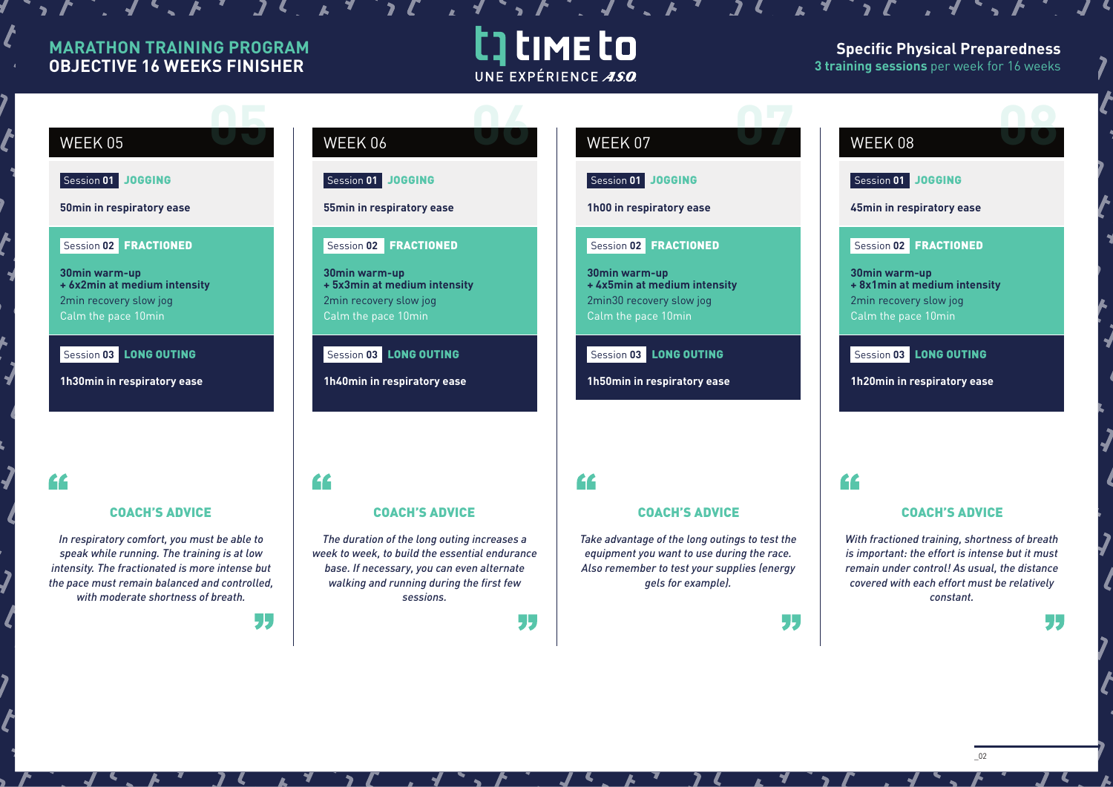$\mathcal{L}$ ,  $\mathcal{L}$ ,  $\mathcal{L}$ ,  $\mathcal{L}$ ,  $\mathcal{L}$ 

# t] time to UNE EXPÉRIENCE ASO

## **Specific Physical Preparedness 3 training sessions** per week for 16 weeks

# **WEEK 05**

Session **01** JOGGING

**50min in respiratory ease**

Session **02** FRACTIONED

**30min warm-up + 6x2min at medium intensity** 2min recovery slow jog Calm the pace 10min

Session **03** LONG OUTING

**1h30min in respiratory ease**

"

## COACH'S ADVICE

*In respiratory comfort, you must be able to speak while running. The training is at low intensity. The fractionated is more intense but the pace must remain balanced and controlled, with moderate shortness of breath.*

55

"



Session **01** JOGGING

**55min in respiratory ease**

## Session **02** FRACTIONED

**30min warm-up + 5x3min at medium intensity** 2min recovery slow jog Calm the pace 10min

Session **03** LONG OUTING

**1h40min in respiratory ease**

*The duration of the long outing increases a week to week, to build the essential endurance base. If necessary, you can even alternate walking and running during the first few sessions.*

COACH'S ADVICE

# WEEK 07 **07**

Session **01** JOGGING

**1h00 in respiratory ease**

### Session **02** FRACTIONED

**30min warm-up + 4x5min at medium intensity** 2min30 recovery slow jog Calm the pace 10min

Session **03** LONG OUTING

**1h50min in respiratory ease**

## "

"

## COACH'S ADVICE

*Take advantage of the long outings to test the equipment you want to use during the race. Also remember to test your supplies (energy gels for example).*

J.,

# **WEEK 08 DEEK 08**

Session **01** JOGGING

**45min in respiratory ease**

## Session **02** FRACTIONED

**30min warm-up + 8x1min at medium intensity** 2min recovery slow jog Calm the pace 10min

## Session **03** LONG OUTING

**1h20min in respiratory ease**

## "

## COACH'S ADVICE

*With fractioned training, shortness of breath is important: the effort is intense but it must remain under control! As usual, the distance covered with each effort must be relatively constant.*

J.,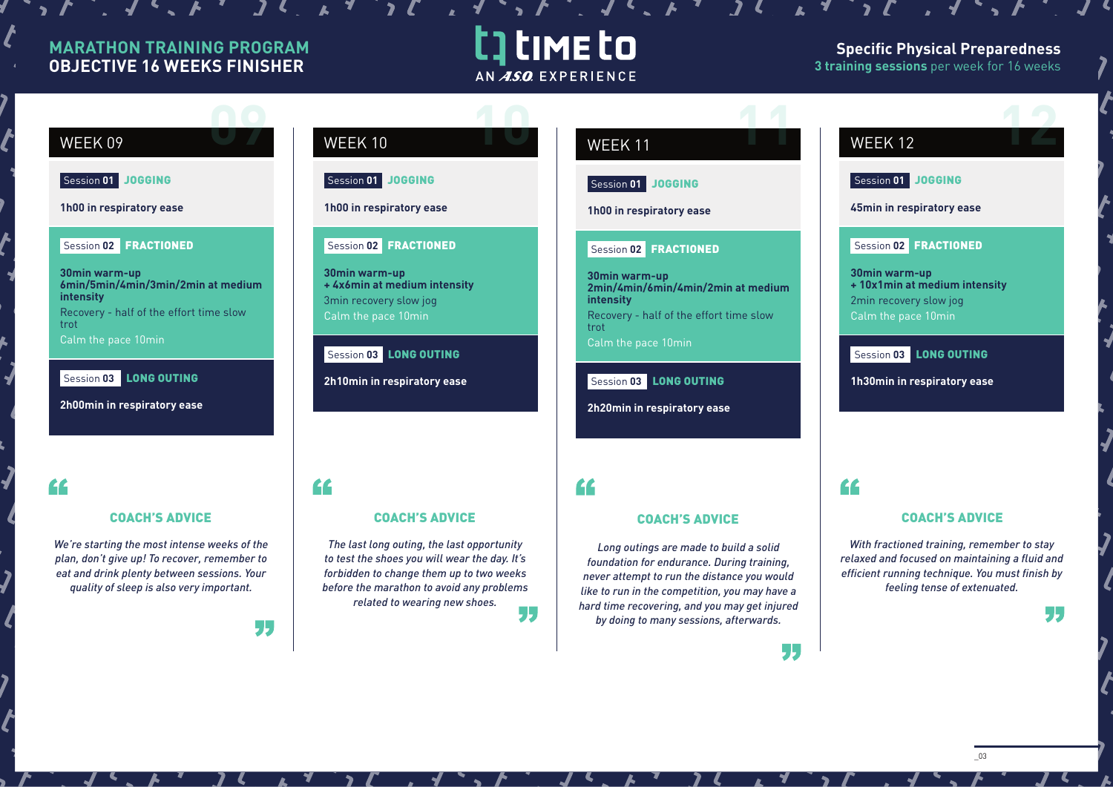$\mathcal{L}$ ,  $\mathcal{L}$ ,  $\mathcal{L}$ ,  $\mathcal{L}$ ,  $\mathcal{L}$ 

# t time to AN ASO EXPERIENCE

## **Specific Physical Preparedness 3 training sessions** per week for 16 weeks

# **WEEK 09**

Session **01** JOGGING

**1h00 in respiratory ease**

#### Session **02** FRACTIONED

**30min warm-up 6min/5min/4min/3min/2min at medium intensity** Recovery - half of the effort time slow trot Calm the pace 10min

Session **03** LONG OUTING

**2h00min in respiratory ease**

## "

### COACH'S ADVICE

*We're starting the most intense weeks of the plan, don't give up! To recover, remember to eat and drink plenty between sessions. Your quality of sleep is also very important.*

55

"



Session **01** JOGGING

## **1h00 in respiratory ease**

## Session **02** FRACTIONED

**30min warm-up + 4x6min at medium intensity** 3min recovery slow jog Calm the pace 10min

### Session **03** LONG OUTING

**2h10min in respiratory ease**

*The last long outing, the last opportunity to test the shoes you will wear the day. It's forbidden to change them up to two weeks before the marathon to avoid any problems related to wearing new shoes.*

COACH'S ADVICE

# **WEEK 11 11**

## Session **01** JOGGING

**1h00 in respiratory ease**

### Session **02** FRACTIONED

**30min warm-up 2min/4min/6min/4min/2min at medium intensity** Recovery - half of the effort time slow trot Calm the pace 10min

### Session **03** LONG OUTING

**2h20min in respiratory ease**

## "

55

## COACH'S ADVICE

*Long outings are made to build a solid foundation for endurance. During training, never attempt to run the distance you would like to run in the competition, you may have a hard time recovering, and you may get injured by doing to many sessions, afterwards.*

# **WEEK 12**

## Session **01** JOGGING

**45min in respiratory ease**

## Session **02** FRACTIONED

**30min warm-up + 10x1min at medium intensity** 2min recovery slow jog Calm the pace 10min

## Session **03** LONG OUTING

**1h30min in respiratory ease**

"

55

## COACH'S ADVICE

*With fractioned training, remember to stay relaxed and focused on maintaining a fluid and efficient running technique. You must finish by feeling tense of extenuated.*

\_03

J.,